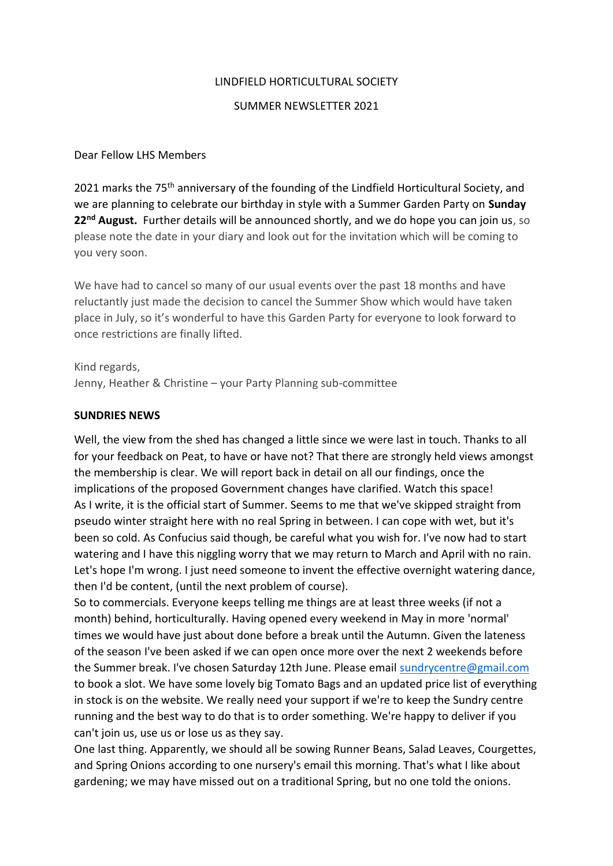### LINDFIELD HORTICULTURAL SOCIETY

#### SUMMER NEWSLETTER 2021

### Dear Fellow LHS Members

2021 marks the 75<sup>th</sup> anniversary of the founding of the Lindfield Horticultural Society, and we are planning to celebrate our birthday in style with a Summer Garden Party on **Sunday 22nd August.** Further details will be announced shortly, and we do hope you can join us, so please note the date in your diary and look out for the invitation which will be coming to you very soon.

We have had to cancel so many of our usual events over the past 18 months and have reluctantly just made the decision to cancel the Summer Show which would have taken place in July, so it's wonderful to have this Garden Party for everyone to look forward to once restrictions are finally lifted.

Kind regards, Jenny, Heather & Christine – your Party Planning sub-committee

#### **SUNDRIES NEWS**

Well, the view from the shed has changed a little since we were last in touch. Thanks to all for your feedback on Peat, to have or have not? That there are strongly held views amongst the membership is clear. We will report back in detail on all our findings, once the implications of the proposed Government changes have clarified. Watch this space! As I write, it is the official start of Summer. Seems to me that we've skipped straight from pseudo winter straight here with no real Spring in between. I can cope with wet, but it's been so cold. As Confucius said though, be careful what you wish for. I've now had to start watering and I have this niggling worry that we may return to March and April with no rain. Let's hope I'm wrong. I just need someone to invent the effective overnight watering dance, then I'd be content, (until the next problem of course).

So to commercials. Everyone keeps telling me things are at least three weeks (if not a month) behind, horticulturally. Having opened every weekend in May in more 'normal' times we would have just about done before a break until the Autumn. Given the lateness of the season I've been asked if we can open once more over the next 2 weekends before the Summer break. I've chosen Saturday 12th June. Please email [sundrycentre@gmail.com](mailto:sundrycentre@gmail.com) to book a slot. We have some lovely big Tomato Bags and an updated price list of everything in stock is on the website. We really need your support if we're to keep the Sundry centre running and the best way to do that is to order something. We're happy to deliver if you can't join us, use us or lose us as they say.

One last thing. Apparently, we should all be sowing Runner Beans, Salad Leaves, Courgettes, and Spring Onions according to one nursery's email this morning. That's what I like about gardening; we may have missed out on a traditional Spring, but no one told the onions.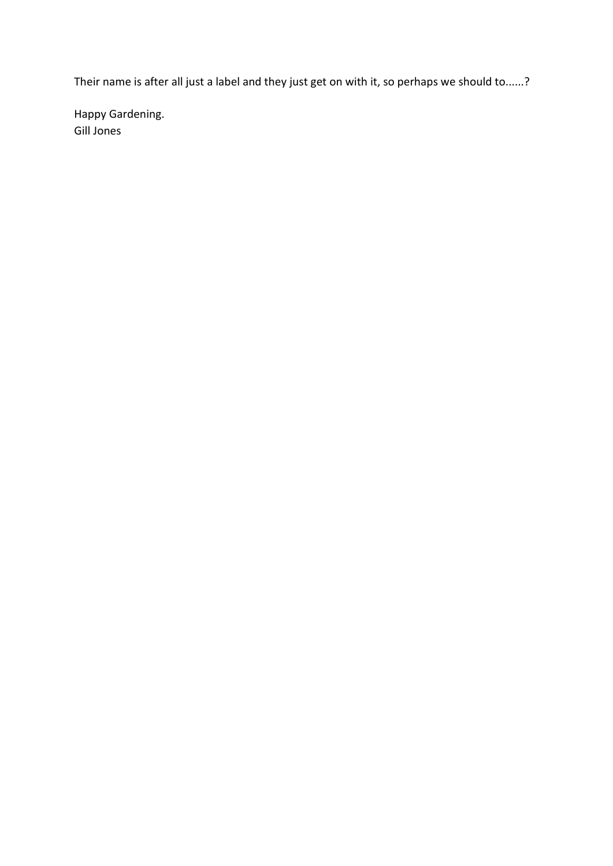Their name is after all just a label and they just get on with it, so perhaps we should to......?

Happy Gardening. Gill Jones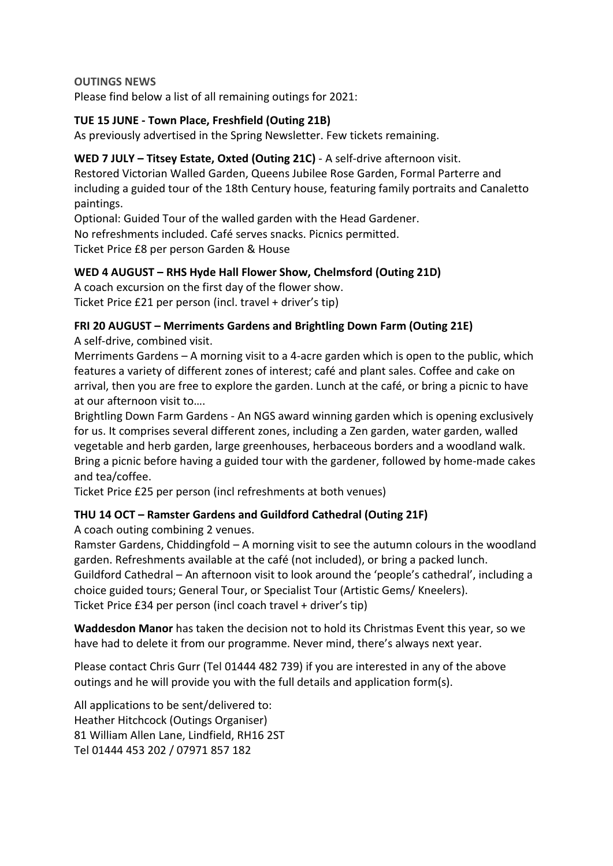## **OUTINGS NEWS**

Please find below a list of all remaining outings for 2021:

# **TUE 15 JUNE - Town Place, Freshfield (Outing 21B)**

As previously advertised in the Spring Newsletter. Few tickets remaining.

## **WED 7 JULY – Titsey Estate, Oxted (Outing 21C)** - A self-drive afternoon visit.

Restored Victorian Walled Garden, Queens Jubilee Rose Garden, Formal Parterre and including a guided tour of the 18th Century house, featuring family portraits and Canaletto paintings.

Optional: Guided Tour of the walled garden with the Head Gardener. No refreshments included. Café serves snacks. Picnics permitted. Ticket Price £8 per person Garden & House

# **WED 4 AUGUST – RHS Hyde Hall Flower Show, Chelmsford (Outing 21D)**

A coach excursion on the first day of the flower show. Ticket Price £21 per person (incl. travel + driver's tip)

# **FRI 20 AUGUST – Merriments Gardens and Brightling Down Farm (Outing 21E)**

A self-drive, combined visit.

Merriments Gardens – A morning visit to a 4-acre garden which is open to the public, which features a variety of different zones of interest; café and plant sales. Coffee and cake on arrival, then you are free to explore the garden. Lunch at the café, or bring a picnic to have at our afternoon visit to….

Brightling Down Farm Gardens - An NGS award winning garden which is opening exclusively for us. It comprises several different zones, including a Zen garden, water garden, walled vegetable and herb garden, large greenhouses, herbaceous borders and a woodland walk. Bring a picnic before having a guided tour with the gardener, followed by home-made cakes and tea/coffee.

Ticket Price £25 per person (incl refreshments at both venues)

# **THU 14 OCT – Ramster Gardens and Guildford Cathedral (Outing 21F)**

A coach outing combining 2 venues.

Ramster Gardens, Chiddingfold – A morning visit to see the autumn colours in the woodland garden. Refreshments available at the café (not included), or bring a packed lunch. Guildford Cathedral – An afternoon visit to look around the 'people's cathedral', including a choice guided tours; General Tour, or Specialist Tour (Artistic Gems/ Kneelers). Ticket Price £34 per person (incl coach travel + driver's tip)

**Waddesdon Manor** has taken the decision not to hold its Christmas Event this year, so we have had to delete it from our programme. Never mind, there's always next year.

Please contact Chris Gurr (Tel 01444 482 739) if you are interested in any of the above outings and he will provide you with the full details and application form(s).

All applications to be sent/delivered to: Heather Hitchcock (Outings Organiser) 81 William Allen Lane, Lindfield, RH16 2ST Tel 01444 453 202 / 07971 857 182